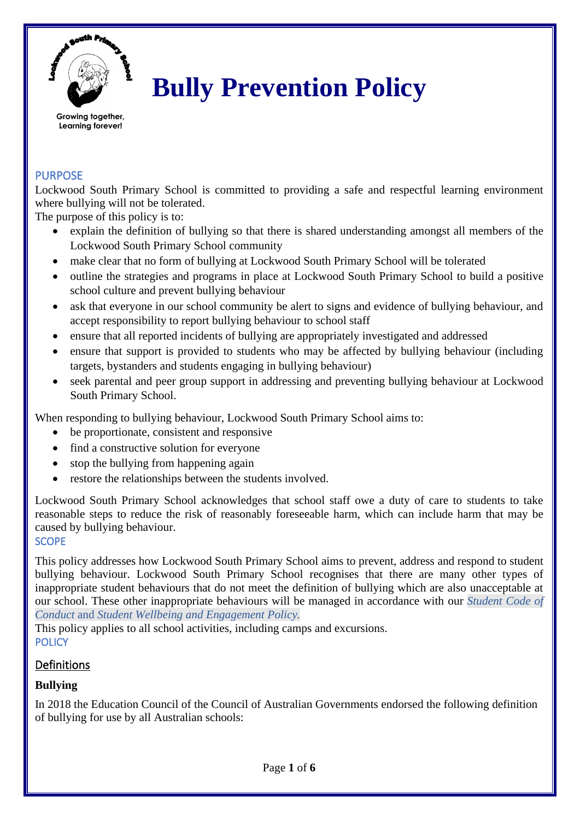

# **Bully Prevention Policy**

**Growing together, Learning forever!**

## PURPOSE

Lockwood South Primary School is committed to providing a safe and respectful learning environment where bullying will not be tolerated.

The purpose of this policy is to:

- explain the definition of bullying so that there is shared understanding amongst all members of the Lockwood South Primary School community
- make clear that no form of bullying at Lockwood South Primary School will be tolerated
- outline the strategies and programs in place at Lockwood South Primary School to build a positive school culture and prevent bullying behaviour
- ask that everyone in our school community be alert to signs and evidence of bullying behaviour, and accept responsibility to report bullying behaviour to school staff
- ensure that all reported incidents of bullying are appropriately investigated and addressed
- ensure that support is provided to students who may be affected by bullying behaviour (including targets, bystanders and students engaging in bullying behaviour)
- seek parental and peer group support in addressing and preventing bullying behaviour at Lockwood South Primary School.

When responding to bullying behaviour, Lockwood South Primary School aims to:

- be proportionate, consistent and responsive
- find a constructive solution for everyone
- stop the bullying from happening again
- restore the relationships between the students involved.

Lockwood South Primary School acknowledges that school staff owe a duty of care to students to take reasonable steps to reduce the risk of reasonably foreseeable harm, which can include harm that may be caused by bullying behaviour.

## **SCOPE**

This policy addresses how Lockwood South Primary School aims to prevent, address and respond to student bullying behaviour. Lockwood South Primary School recognises that there are many other types of inappropriate student behaviours that do not meet the definition of bullying which are also unacceptable at our school. These other inappropriate behaviours will be managed in accordance with our *Student Code of Conduct* and *Student Wellbeing and Engagement Policy.*

This policy applies to all school activities, including camps and excursions. **POLICY** 

## **Definitions**

## **Bullying**

In 2018 the Education Council of the Council of Australian Governments endorsed the following definition of bullying for use by all Australian schools: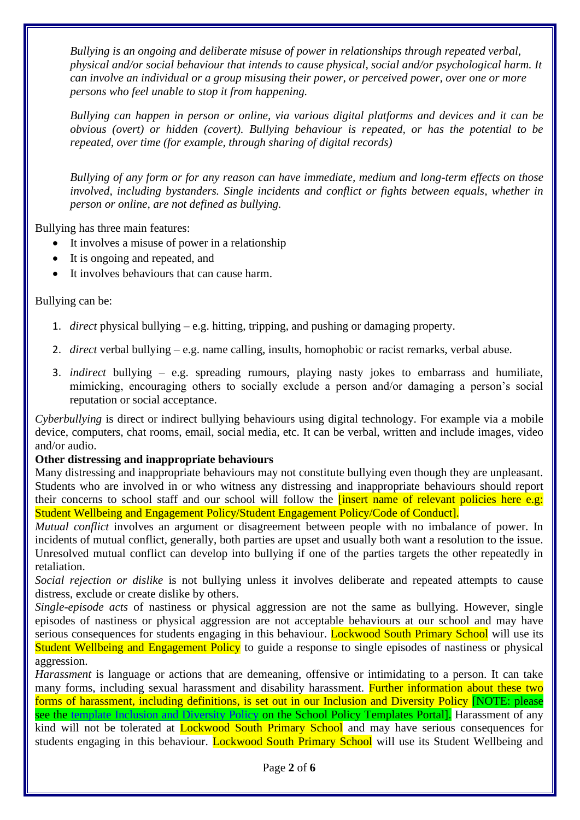*Bullying is an ongoing and deliberate misuse of power in relationships through repeated verbal, physical and/or social behaviour that intends to cause physical, social and/or psychological harm. It can involve an individual or a group misusing their power, or perceived power, over one or more persons who feel unable to stop it from happening.*

*Bullying can happen in person or online, via various digital platforms and devices and it can be obvious (overt) or hidden (covert). Bullying behaviour is repeated, or has the potential to be repeated, over time (for example, through sharing of digital records)*

*Bullying of any form or for any reason can have immediate, medium and long-term effects on those involved, including bystanders. Single incidents and conflict or fights between equals, whether in person or online, are not defined as bullying.*

Bullying has three main features:

- It involves a misuse of power in a relationship
- It is ongoing and repeated, and
- It involves behaviours that can cause harm.

Bullying can be:

- 1. *direct* physical bullying e.g. hitting, tripping, and pushing or damaging property.
- 2. *direct* verbal bullying e.g. name calling, insults, homophobic or racist remarks, verbal abuse.
- 3. *indirect* bullying e.g. spreading rumours, playing nasty jokes to embarrass and humiliate, mimicking, encouraging others to socially exclude a person and/or damaging a person's social reputation or social acceptance.

*Cyberbullying* is direct or indirect bullying behaviours using digital technology. For example via a mobile device, computers, chat rooms, email, social media, etc. It can be verbal, written and include images, video and/or audio.

#### **Other distressing and inappropriate behaviours**

Many distressing and inappropriate behaviours may not constitute bullying even though they are unpleasant. Students who are involved in or who witness any distressing and inappropriate behaviours should report their concerns to school staff and our school will follow the linsert name of relevant policies here e.g: Student Wellbeing and Engagement Policy/Student Engagement Policy/Code of Conduct].

*Mutual conflict* involves an argument or disagreement between people with no imbalance of power. In incidents of mutual conflict, generally, both parties are upset and usually both want a resolution to the issue. Unresolved mutual conflict can develop into bullying if one of the parties targets the other repeatedly in retaliation.

*Social rejection or dislike* is not bullying unless it involves deliberate and repeated attempts to cause distress, exclude or create dislike by others.

*Single-episode acts* of nastiness or physical aggression are not the same as bullying. However, single episodes of nastiness or physical aggression are not acceptable behaviours at our school and may have serious consequences for students engaging in this behaviour. Lockwood South Primary School will use its Student Wellbeing and Engagement Policy to guide a response to single episodes of nastiness or physical aggression.

*Harassment* is language or actions that are demeaning, offensive or intimidating to a person. It can take many forms, including sexual harassment and disability harassment. Further information about these two forms of harassment, including definitions, is set out in our Inclusion and Diversity Policy [NOTE: please see the [template Inclusion and Diversity Policy](https://edugate.eduweb.vic.gov.au/edrms/keyprocess/cp/SitePages/SchoolPoliciesDetail.aspx?CId=76) on the School Policy Templates Portal. Harassment of any kind will not be tolerated at **Lockwood South Primary School** and may have serious consequences for students engaging in this behaviour. Lockwood South Primary School will use its Student Wellbeing and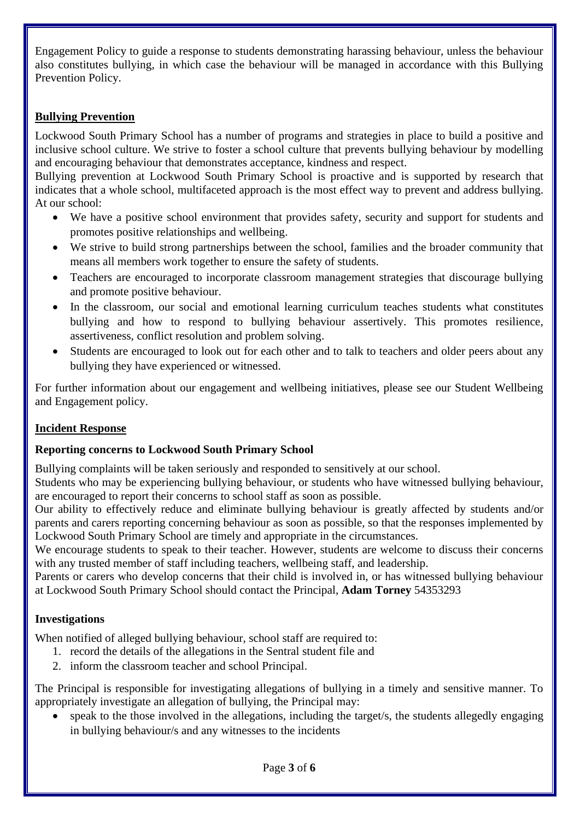Engagement Policy to guide a response to students demonstrating harassing behaviour, unless the behaviour also constitutes bullying, in which case the behaviour will be managed in accordance with this Bullying Prevention Policy.

## **Bullying Prevention**

Lockwood South Primary School has a number of programs and strategies in place to build a positive and inclusive school culture. We strive to foster a school culture that prevents bullying behaviour by modelling and encouraging behaviour that demonstrates acceptance, kindness and respect.

Bullying prevention at Lockwood South Primary School is proactive and is supported by research that indicates that a whole school, multifaceted approach is the most effect way to prevent and address bullying. At our school:

- We have a positive school environment that provides safety, security and support for students and promotes positive relationships and wellbeing.
- We strive to build strong partnerships between the school, families and the broader community that means all members work together to ensure the safety of students.
- Teachers are encouraged to incorporate classroom management strategies that discourage bullying and promote positive behaviour.
- In the classroom, our social and emotional learning curriculum teaches students what constitutes bullying and how to respond to bullying behaviour assertively. This promotes resilience, assertiveness, conflict resolution and problem solving.
- Students are encouraged to look out for each other and to talk to teachers and older peers about any bullying they have experienced or witnessed.

For further information about our engagement and wellbeing initiatives, please see our Student Wellbeing and Engagement policy.

## **Incident Response**

## **Reporting concerns to Lockwood South Primary School**

Bullying complaints will be taken seriously and responded to sensitively at our school.

Students who may be experiencing bullying behaviour, or students who have witnessed bullying behaviour, are encouraged to report their concerns to school staff as soon as possible.

Our ability to effectively reduce and eliminate bullying behaviour is greatly affected by students and/or parents and carers reporting concerning behaviour as soon as possible, so that the responses implemented by Lockwood South Primary School are timely and appropriate in the circumstances.

We encourage students to speak to their teacher. However, students are welcome to discuss their concerns with any trusted member of staff including teachers, wellbeing staff, and leadership.

Parents or carers who develop concerns that their child is involved in, or has witnessed bullying behaviour at Lockwood South Primary School should contact the Principal, **Adam Torney** 54353293

#### **Investigations**

When notified of alleged bullying behaviour, school staff are required to:

- 1. record the details of the allegations in the Sentral student file and
- 2. inform the classroom teacher and school Principal.

The Principal is responsible for investigating allegations of bullying in a timely and sensitive manner. To appropriately investigate an allegation of bullying, the Principal may:

speak to the those involved in the allegations, including the target/s, the students allegedly engaging in bullying behaviour/s and any witnesses to the incidents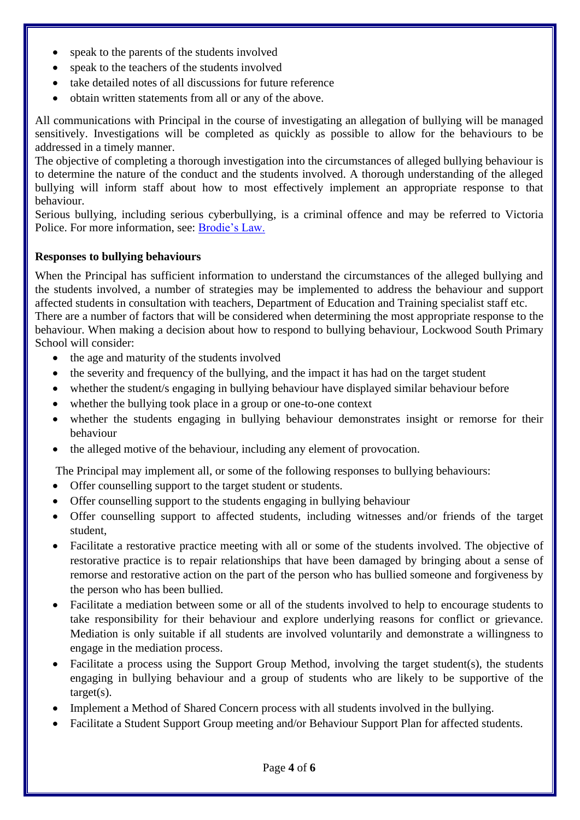- speak to the parents of the students involved
- speak to the teachers of the students involved
- take detailed notes of all discussions for future reference
- obtain written statements from all or any of the above.

All communications with Principal in the course of investigating an allegation of bullying will be managed sensitively. Investigations will be completed as quickly as possible to allow for the behaviours to be addressed in a timely manner.

The objective of completing a thorough investigation into the circumstances of alleged bullying behaviour is to determine the nature of the conduct and the students involved. A thorough understanding of the alleged bullying will inform staff about how to most effectively implement an appropriate response to that behaviour.

Serious bullying, including serious cyberbullying, is a criminal offence and may be referred to Victoria Police. For more information, see: [Brodie's Law.](http://www.education.vic.gov.au/about/programs/bullystoppers/Pages/advicesheetbrodieslaw.aspx)

#### **Responses to bullying behaviours**

When the Principal has sufficient information to understand the circumstances of the alleged bullying and the students involved, a number of strategies may be implemented to address the behaviour and support affected students in consultation with teachers, Department of Education and Training specialist staff etc. There are a number of factors that will be considered when determining the most appropriate response to the behaviour. When making a decision about how to respond to bullying behaviour, Lockwood South Primary School will consider:

- the age and maturity of the students involved
- the severity and frequency of the bullying, and the impact it has had on the target student
- whether the student/s engaging in bullying behaviour have displayed similar behaviour before
- whether the bullying took place in a group or one-to-one context
- whether the students engaging in bullying behaviour demonstrates insight or remorse for their behaviour
- the alleged motive of the behaviour, including any element of provocation.

The Principal may implement all, or some of the following responses to bullying behaviours:

- Offer counselling support to the target student or students.
- Offer counselling support to the students engaging in bullying behaviour
- Offer counselling support to affected students, including witnesses and/or friends of the target student,
- Facilitate a restorative practice meeting with all or some of the students involved. The objective of restorative practice is to repair relationships that have been damaged by bringing about a sense of remorse and restorative action on the part of the person who has bullied someone and forgiveness by the person who has been bullied.
- Facilitate a mediation between some or all of the students involved to help to encourage students to take responsibility for their behaviour and explore underlying reasons for conflict or grievance. Mediation is only suitable if all students are involved voluntarily and demonstrate a willingness to engage in the mediation process.
- Facilitate a process using the Support Group Method, involving the target student(s), the students engaging in bullying behaviour and a group of students who are likely to be supportive of the target(s).
- Implement a Method of Shared Concern process with all students involved in the bullying.
- Facilitate a Student Support Group meeting and/or Behaviour Support Plan for affected students.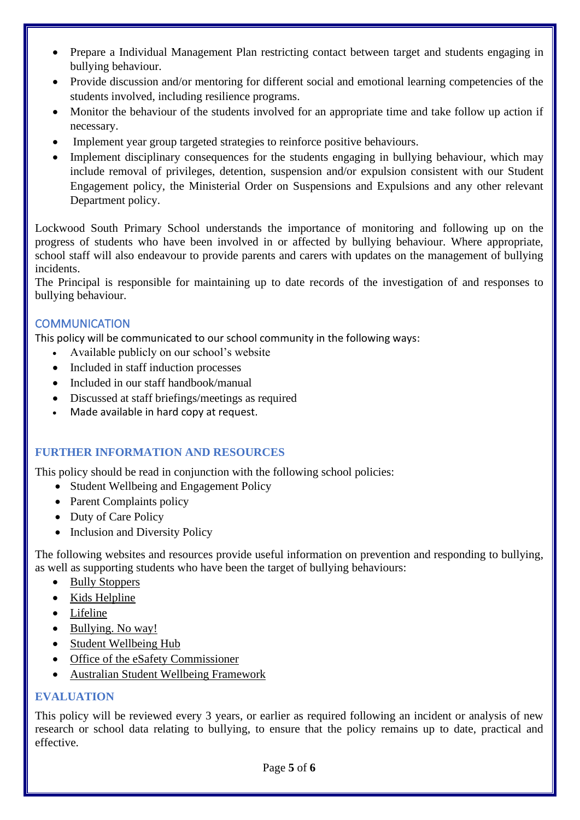- Prepare a Individual Management Plan restricting contact between target and students engaging in bullying behaviour.
- Provide discussion and/or mentoring for different social and emotional learning competencies of the students involved, including resilience programs.
- Monitor the behaviour of the students involved for an appropriate time and take follow up action if necessary.
- Implement year group targeted strategies to reinforce positive behaviours.
- Implement disciplinary consequences for the students engaging in bullying behaviour, which may include removal of privileges, detention, suspension and/or expulsion consistent with our Student Engagement policy, the Ministerial Order on Suspensions and Expulsions and any other relevant Department policy.

Lockwood South Primary School understands the importance of monitoring and following up on the progress of students who have been involved in or affected by bullying behaviour. Where appropriate, school staff will also endeavour to provide parents and carers with updates on the management of bullying incidents.

The Principal is responsible for maintaining up to date records of the investigation of and responses to bullying behaviour.

## **COMMUNICATION**

This policy will be communicated to our school community in the following ways:

- Available publicly on our school's website
- Included in staff induction processes
- Included in our staff handbook/manual
- Discussed at staff briefings/meetings as required
- Made available in hard copy at request.

## **FURTHER INFORMATION AND RESOURCES**

This policy should be read in conjunction with the following school policies:

- Student Wellbeing and Engagement Policy
- Parent Complaints policy
- Duty of Care Policy
- Inclusion and Diversity Policy

The following websites and resources provide useful information on prevention and responding to bullying, as well as supporting students who have been the target of bullying behaviours:

- [Bully Stoppers](https://www.education.vic.gov.au/about/programs/bullystoppers/Pages/default.aspx)
- Kids [Helpline](https://kidshelpline.com.au/)
- [Lifeline](https://www.lifeline.org.au/)
- [Bullying. No way!](https://bullyingnoway.gov.au/)
- [Student Wellbeing Hub](https://www.studentwellbeinghub.edu.au/)
- [Office of the eSafety Commissioner](https://www.esafety.gov.au/)
- [Australian Student Wellbeing Framework](https://studentwellbeinghub.edu.au/educators/resources/australian-student-wellbeing-framework/)

## **EVALUATION**

This policy will be reviewed every 3 years, or earlier as required following an incident or analysis of new research or school data relating to bullying, to ensure that the policy remains up to date, practical and effective.